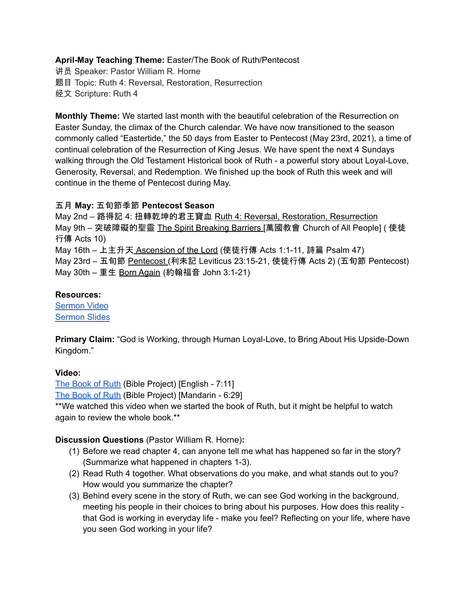# **April-May Teaching Theme:** Easter/The Book of Ruth/Pentecost

讲员 Speaker: Pastor William R. Horne 题目 Topic: Ruth 4: Reversal, Restoration, Resurrection 经文 Scripture: Ruth 4

**Monthly Theme:** We started last month with the beautiful celebration of the Resurrection on Easter Sunday, the climax of the Church calendar. We have now transitioned to the season commonly called "Eastertide," the 50 days from Easter to Pentecost (May 23rd, 2021), a time of continual celebration of the Resurrection of King Jesus. We have spent the next 4 Sundays walking through the Old Testament Historical book of Ruth - a powerful story about Loyal-Love, Generosity, Reversal, and Redemption. We finished up the book of Ruth this week and will continue in the theme of Pentecost during May.

# 五月 **May:** 五旬節季節 **Pentecost Season**

May 2nd – 路得記 4: 扭轉乾坤的君王寶血 Ruth 4: Reversal, Restoration, Resurrection May 9th – 突破障礙的聖靈 The Spirit Breaking Barriers [萬國教會 Church of All People] ( 使徒 行傳 Acts 10) May 16th – 上主升天 Ascension of the Lord (使徒行傳 Acts 1:1-11, 詩篇 Psalm 47) May 23rd – 五旬節 Pentecost (利未記 Leviticus 23:15-21, 使徒行傳 Acts 2) (五旬節 Pentecost) May 30th – 重生 Born Again (約翰福音 John 3:1-21)

### **Resources:**

[Sermon](https://www.youtube.com/watch?v=fpkJCtAdsOI&t=2s) Video [Sermon](http://www.lcccky.org/CellGroup/Meetings/05_02_21%20Ruth%204%20Reversal,%20Redemption,%20Resurrection.pdf) Slides

**Primary Claim:** "God is Working, through Human Loyal-Love, to Bring About His Upside-Down Kingdom."

# **Video:**

The [Book](https://bibleproject.com/explore/video/ruth) of Ruth (Bible Project) [English - 7:11] The [Book](https://www.youtube.com/watch?v=qBJDorKYt4U&list=PLE-R0uydm0uN0xKD3tw0aheiQojlf1JB1&index=34) of Ruth (Bible Project) [Mandarin - 6:29] \*\*We watched this video when we started the book of Ruth, but it might be helpful to watch again to review the whole book.\*\*

# **Discussion Questions** (Pastor William R. Horne)**:**

- (1) Before we read chapter 4, can anyone tell me what has happened so far in the story? (Summarize what happened in chapters 1-3).
- (2) Read Ruth 4 together. What observations do you make, and what stands out to you? How would you summarize the chapter?
- (3) Behind every scene in the story of Ruth, we can see God working in the background, meeting his people in their choices to bring about his purposes. How does this reality that God is working in everyday life - make you feel? Reflecting on your life, where have you seen God working in your life?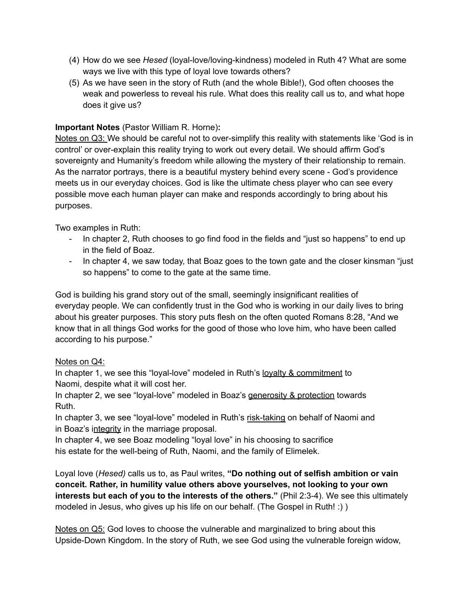- (4) How do we see *Hesed* (loyal-love/loving-kindness) modeled in Ruth 4? What are some ways we live with this type of loyal love towards others?
- (5) As we have seen in the story of Ruth (and the whole Bible!), God often chooses the weak and powerless to reveal his rule. What does this reality call us to, and what hope does it give us?

# **Important Notes** (Pastor William R. Horne)**:**

Notes on Q3: We should be careful not to over-simplify this reality with statements like 'God is in control' or over-explain this reality trying to work out every detail. We should affirm God's sovereignty and Humanity's freedom while allowing the mystery of their relationship to remain. As the narrator portrays, there is a beautiful mystery behind every scene - God's providence meets us in our everyday choices. God is like the ultimate chess player who can see every possible move each human player can make and responds accordingly to bring about his purposes.

Two examples in Ruth:

- In chapter 2, Ruth chooses to go find food in the fields and "just so happens" to end up in the field of Boaz.
- In chapter 4, we saw today, that Boaz goes to the town gate and the closer kinsman "just so happens" to come to the gate at the same time.

God is building his grand story out of the small, seemingly insignificant realities of everyday people. We can confidently trust in the God who is working in our daily lives to bring about his greater purposes. This story puts flesh on the often quoted Romans 8:28, "And we know that in all things God works for the good of those who love him, who have been called according to his purpose."

### Notes on Q4:

In chapter 1, we see this "loyal-love" modeled in Ruth's loyalty & commitment to Naomi, despite what it will cost her.

In chapter 2, we see "loyal-love" modeled in Boaz's generosity & protection towards Ruth.

In chapter 3, we see "loyal-love" modeled in Ruth's risk-taking on behalf of Naomi and in Boaz's integrity in the marriage proposal.

In chapter 4, we see Boaz modeling "loyal love" in his choosing to sacrifice his estate for the well-being of Ruth, Naomi, and the family of Elimelek.

Loyal love (*Hesed)* calls us to, as Paul writes, **"Do nothing out of selfish ambition or vain conceit. Rather, in humility value others above yourselves, not looking to your own interests but each of you to the interests of the others."** (Phil 2:3-4). We see this ultimately modeled in Jesus, who gives up his life on our behalf. (The Gospel in Ruth! :) )

Notes on Q5: God loves to choose the vulnerable and marginalized to bring about this Upside-Down Kingdom. In the story of Ruth, we see God using the vulnerable foreign widow,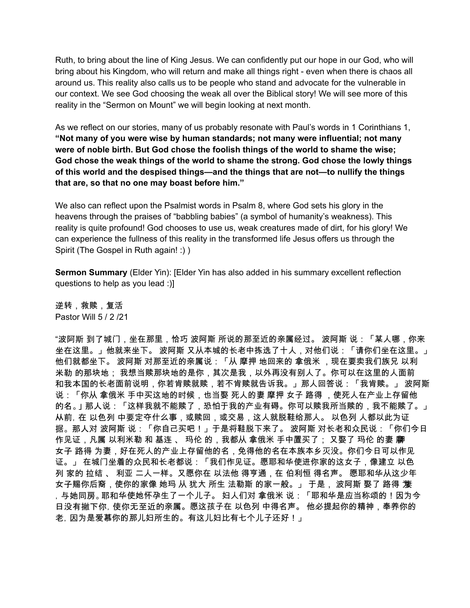Ruth, to bring about the line of King Jesus. We can confidently put our hope in our God, who will bring about his Kingdom, who will return and make all things right - even when there is chaos all around us. This reality also calls us to be people who stand and advocate for the vulnerable in our context. We see God choosing the weak all over the Biblical story! We will see more of this reality in the "Sermon on Mount" we will begin looking at next month.

As we reflect on our stories, many of us probably resonate with Paul's words in 1 Corinthians 1, **"Not many of you were wise by human standards; not many were influential; not many were of noble birth. But God chose the foolish things of the world to shame the wise; God chose the weak things of the world to shame the strong. God chose the lowly things of this world and the despised things—and the things that are not—to nullify the things that are, so that no one may boast before him."**

We also can reflect upon the Psalmist words in Psalm 8, where God sets his glory in the heavens through the praises of "babbling babies" (a symbol of humanity's weakness). This reality is quite profound! God chooses to use us, weak creatures made of dirt, for his glory! We can experience the fullness of this reality in the transformed life Jesus offers us through the Spirit (The Gospel in Ruth again! :) )

**Sermon Summary** (Elder Yin): [Elder Yin has also added in his summary excellent reflection questions to help as you lead :)]

逆转,救赎,复活 Pastor Will 5 / 2 /21

"波阿斯 到了城门,坐在那里,恰巧 波阿斯 所说的那至近的亲属经过。 波阿斯 说:「某人哪,你来 坐在这里。」他就来坐下。 波阿斯 又从本城的长老中拣选了十人,对他们说:「请你们坐在这里。」 他们就都坐下。 波阿斯 对那至近的亲属说:「从 摩押 地回来的 拿俄米 ,现在要卖我们族兄 以利 米勒 的那块地; 我想当赎那块地的是你,其次是我,以外再没有别人了。你可以在这里的人面前 和我本国的长老面前说明,你若肯赎就赎,若不肯赎就告诉我。」那人回答说:「我肯赎。」 波阿斯 说:「你从 拿俄米 手中买这地的时候,也当娶 死人的妻 摩押 女子 路得 ,使死人在产业上存留他 的名。」 那人说:「这样我就不能赎了,恐怕于我的产业有碍。你可以赎我所当赎的,我不能赎了。」 从前,在 以色列 中要定夺什么事,或赎回,或交易,这人就脱鞋给那人。 以色列 人都以此为证 据。 那人对 波阿斯 说:「你自己买吧!」于是将鞋脱下来了。 波阿斯 对长老和众民说:「你们今日 作见证,凡属 以利米勒 和 基连 、 玛伦 的,我都从 拿俄米 手中置买了; 又娶了 玛伦 的妻 劘 女子 路得 为妻,好在死人的产业上存留他的名,免得他的名在本族本乡灭没。你们今日可以作见 证。」 在城门坐着的众民和长老都说:「我们作见证。愿耶和华使进你家的这女子,像建立 以色 列 家的 拉结 、 利亚 二人一样。又愿你在 以法他 得亨通,在 伯利恒 得名声。 愿耶和华从这少年 女子赐你后裔,使你的家像 她玛 从 犹大 所生 法勒斯 的家一般。」 于是, 波阿斯 娶了 路得 淒 ,与她同房。耶和华使她怀孕生了一个儿子。 妇人们对 拿俄米 说:「耶和华是应当称颂的!因为今 日没有撇下你,使你无至近的亲属。愿这孩子在 以色列 中得名声。 他必提起你的精神,奉养你的 老,因为是爱慕你的那儿妇所生的。有这儿妇比有七个儿子还好!」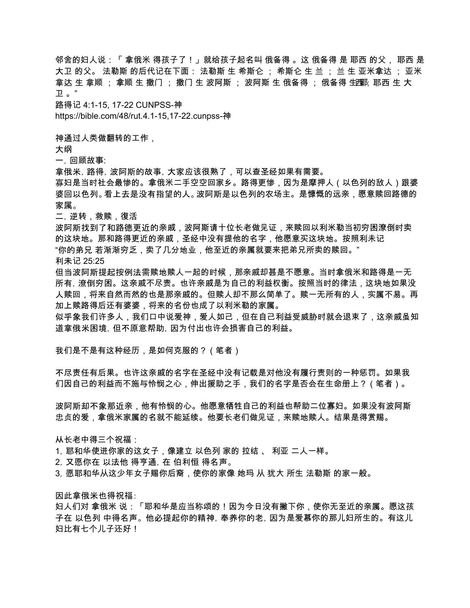邻舍的妇人说:「 拿俄米 得孩子了!」就给孩子起名叫 俄备得 。这 俄备得 是 耶西 的父, 耶西 是 大卫 的父。 法勒斯 的后代记在下面: 法勒斯 生 希斯仑 ; 希斯仑 生 兰 ; 兰 生 亚米拿达 ; 亚米 拿达 生 拿顺 ; 拿顺 生 撒门 ; 撒门 生 波阿斯 ; 波阿斯 生 俄备得 ; 俄备得 生西耶; 耶西 生 大 卫 。"

路得记 4:1-15, 17-22 CUNPSS-神

https://bible.com/48/rut.4.1-15,17-22.cunpss-神

神通过人类做翻转的工作,

大纲

一,回顾故事:

拿俄米,路得,波阿斯的故事,大家应该很熟了,可以查圣经如果有需要。

寡妇是当时社会最惨的。拿俄米二手空空回家乡。路得更惨,因为是摩押人(以色列的敌人)跟婆 婆回以色列。看上去是没有指望的人。波阿斯是以色列的农场主。是慷慨的远亲,愿意赎回路德的 家属。

二,逆转,救赎,復活

波阿斯找到了和路德更近的亲戚,波阿斯请十位长老做见证,来赎回以利米勒当初穷困潦倒时卖 的这块地。那和路得更近的亲戚,圣经中没有提他的名字,他愿意买这块地。按照利未记 "你的弟兄 若渐渐穷乏,卖了几分地业,他至近的亲属就要来把弟兄所卖的赎回。"

利未记 25:25

但当波阿斯提起按例法需赎地赎人一起的时候,那亲戚却甚是不愿意。当时拿俄米和路得是一无 所有, 潦倒穷困。这亲戚不尽责。也许亲戚是为自己的利益权衡。按照当时的律法,这块地如果没 人赎回,将来自然而然的也是那亲戚的。但赎人却不那么简单了。赎一无所有的人,实属不易。再 加上赎路得后还有婆婆,将来的名份也成了以利米勒的家属。

似乎象我们许多人,我们口中说爱神,爱人如己,但在自己利益受威胁时就会退束了,这亲戚虽知 道拿俄米困境,但不原意帮助,因为付出也许会损害自己的利益。

我们是不是有这种经历,是如何克服的?(笔者)

不尽责任有后果。也许这亲戚的名字在圣经中没有记载是对他没有履行责则的一种惩罚。如果我 们因自己的利益而不施与怜悯之心,伸出援助之手,我们的名字是否会在生命册上?(笔者)。

波阿斯却不象那近亲,他有怜悯的心。他愿意牺牲自己的利益也帮助二位寡妇。如果没有波阿斯 忠贞的爱,拿俄米家属的名就不能延续。他要长老们做见证,来赎地赎人。结果是得赏赐。

从长老中得三个祝福:

1,耶和华使进你家的这女子,像建立 以色列 家的 拉结 、 利亚 二人一样。

2,又愿你在 以法他 得亨通,在 伯利恒 得名声。

3,愿耶和华从这少年女子赐你后裔,使你的家像 她玛 从 犹大 所生 法勒斯 的家一般。

因此拿俄米也得祝福:

妇人们对 拿俄米 说:「耶和华是应当称颂的!因为今日没有撇下你,使你无至近的亲属。愿这孩 子在 以色列 中得名声。 他必提起你的精神,奉养你的老,因为是爱慕你的那儿妇所生的。有这儿 妇比有七个儿子还好!